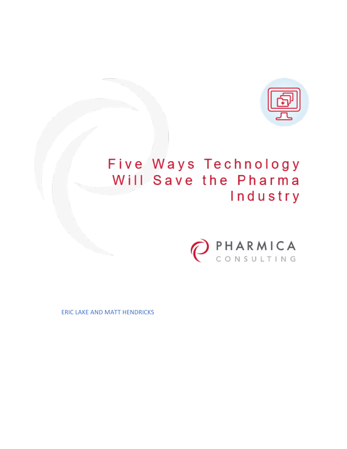

# Five Ways Technology Will Save the Pharma Industry



ERIC LAKE AND MATT HENDRICKS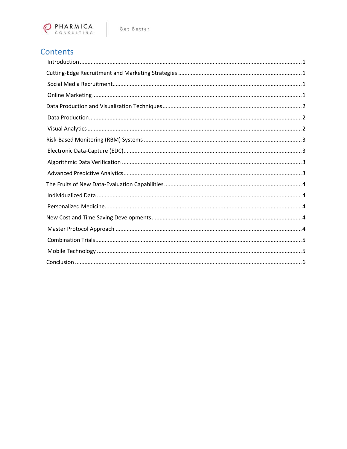

# Contents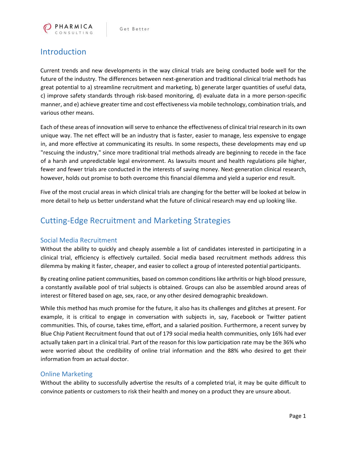

# <span id="page-2-0"></span>Introduction

Current trends and new developments in the way clinical trials are being conducted bode well for the future of the industry. The differences between next-generation and traditional clinical trial methods has great potential to a) streamline recruitment and marketing, b) generate larger quantities of useful data, c) improve safety standards through risk-based monitoring, d) evaluate data in a more person-specific manner, and e) achieve greater time and cost effectiveness via mobile technology, combination trials, and various other means.

Each of these areas of innovation will serve to enhance the effectiveness of clinical trial research in its own unique way. The net effect will be an industry that is faster, easier to manage, less expensive to engage in, and more effective at communicating its results. In some respects, these developments may end up "rescuing the industry," since more traditional trial methods already are beginning to recede in the face of a harsh and unpredictable legal environment. As lawsuits mount and health regulations pile higher, fewer and fewer trials are conducted in the interests of saving money. Next-generation clinical research, however, holds out promise to both overcome this financial dilemma and yield a superior end result.

Five of the most crucial areas in which clinical trials are changing for the better will be looked at below in more detail to help us better understand what the future of clinical research may end up looking like.

# <span id="page-2-1"></span>Cutting-Edge Recruitment and Marketing Strategies

#### <span id="page-2-2"></span>Social Media Recruitment

Without the ability to quickly and cheaply assemble a list of candidates interested in participating in a clinical trial, efficiency is effectively curtailed. Social media based recruitment methods address this dilemma by making it faster, cheaper, and easier to collect a group of interested potential participants.

By creating online patient communities, based on common conditions like arthritis or high blood pressure, a constantly available pool of trial subjects is obtained. Groups can also be assembled around areas of interest or filtered based on age, sex, race, or any other desired demographic breakdown.

While this method has much promise for the future, it also has its challenges and glitches at present. For example, it is critical to engage in conversation with subjects in, say, Facebook or Twitter patient communities. This, of course, takes time, effort, and a salaried position. Furthermore, a recent survey by Blue Chip Patient Recruitment found that out of 179 social media health communities, only 16% had ever actually taken part in a clinical trial. Part of the reason for this low participation rate may be the 36% who were worried about the credibility of online trial information and the 88% who desired to get their information from an actual doctor.

#### <span id="page-2-3"></span>Online Marketing

Without the ability to successfully advertise the results of a completed trial, it may be quite difficult to convince patients or customers to risk their health and money on a product they are unsure about.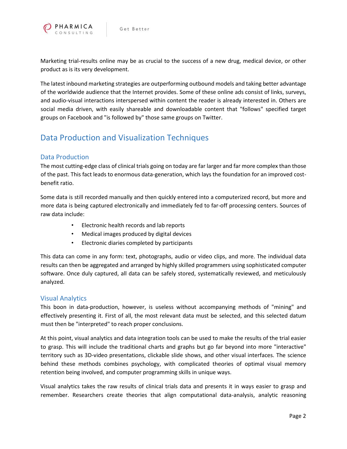

Marketing trial-results online may be as crucial to the success of a new drug, medical device, or other product as is its very development.

The latest inbound marketing strategies are outperforming outbound models and taking better advantage of the worldwide audience that the Internet provides. Some of these online ads consist of links, surveys, and audio-visual interactions interspersed within content the reader is already interested in. Others are social media driven, with easily shareable and downloadable content that "follows" specified target groups on Facebook and "is followed by" those same groups on Twitter.

# <span id="page-3-0"></span>Data Production and Visualization Techniques

#### <span id="page-3-1"></span>Data Production

The most cutting-edge class of clinical trials going on today are far larger and far more complex than those of the past. This fact leads to enormous data-generation, which lays the foundation for an improved costbenefit ratio.

Some data is still recorded manually and then quickly entered into a computerized record, but more and more data is being captured electronically and immediately fed to far-off processing centers. Sources of raw data include:

- Electronic health records and lab reports
- Medical images produced by digital devices
- Electronic diaries completed by participants

This data can come in any form: text, photographs, audio or video clips, and more. The individual data results can then be aggregated and arranged by highly skilled programmers using sophisticated computer software. Once duly captured, all data can be safely stored, systematically reviewed, and meticulously analyzed.

#### <span id="page-3-2"></span>Visual Analytics

This boon in data-production, however, is useless without accompanying methods of "mining" and effectively presenting it. First of all, the most relevant data must be selected, and this selected datum must then be "interpreted" to reach proper conclusions.

At this point, visual analytics and data integration tools can be used to make the results of the trial easier to grasp. This will include the traditional charts and graphs but go far beyond into more "interactive" territory such as 3D-video presentations, clickable slide shows, and other visual interfaces. The science behind these methods combines psychology, with complicated theories of optimal visual memory retention being involved, and computer programming skills in unique ways.

Visual analytics takes the raw results of clinical trials data and presents it in ways easier to grasp and remember. Researchers create theories that align computational data-analysis, analytic reasoning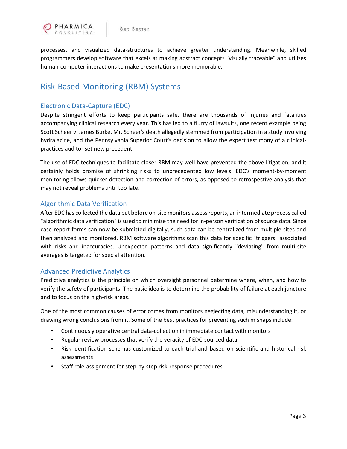

processes, and visualized data-structures to achieve greater understanding. Meanwhile, skilled programmers develop software that excels at making abstract concepts "visually traceable" and utilizes human-computer interactions to make presentations more memorable.

## <span id="page-4-0"></span>Risk-Based Monitoring (RBM) Systems

#### <span id="page-4-1"></span>Electronic Data-Capture (EDC)

Despite stringent efforts to keep participants safe, there are thousands of injuries and fatalities accompanying clinical research every year. This has led to a flurry of lawsuits, one recent example being Scott Scheer v. James Burke. Mr. Scheer's death allegedly stemmed from participation in a study involving hydralazine, and the Pennsylvania Superior Court's decision to allow the expert testimony of a clinicalpractices auditor set new precedent.

The use of EDC techniques to facilitate closer RBM may well have prevented the above litigation, and it certainly holds promise of shrinking risks to unprecedented low levels. EDC's moment-by-moment monitoring allows quicker detection and correction of errors, as opposed to retrospective analysis that may not reveal problems until too late.

#### <span id="page-4-2"></span>Algorithmic Data Verification

After EDC has collected the data but before on-site monitors assess reports, an intermediate process called "algorithmic data verification" is used to minimize the need for in-person verification of source data. Since case report forms can now be submitted digitally, such data can be centralized from multiple sites and then analyzed and monitored. RBM software algorithms scan this data for specific "triggers" associated with risks and inaccuracies. Unexpected patterns and data significantly "deviating" from multi-site averages is targeted for special attention.

#### <span id="page-4-3"></span>Advanced Predictive Analytics

Predictive analytics is the principle on which oversight personnel determine where, when, and how to verify the safety of participants. The basic idea is to determine the probability of failure at each juncture and to focus on the high-risk areas.

One of the most common causes of error comes from monitors neglecting data, misunderstanding it, or drawing wrong conclusions from it. Some of the best practices for preventing such mishaps include:

- Continuously operative central data-collection in immediate contact with monitors
- Regular review processes that verify the veracity of EDC-sourced data
- Risk-identification schemas customized to each trial and based on scientific and historical risk assessments
- Staff role-assignment for step-by-step risk-response procedures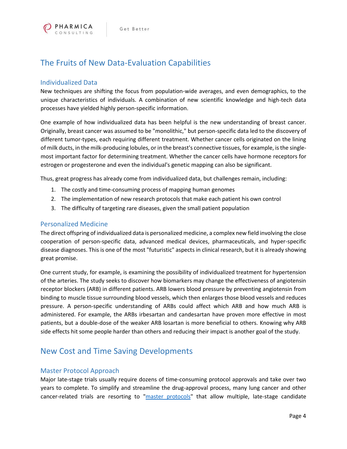

# <span id="page-5-0"></span>The Fruits of New Data-Evaluation Capabilities

#### <span id="page-5-1"></span>Individualized Data

New techniques are shifting the focus from population-wide averages, and even demographics, to the unique characteristics of individuals. A combination of new scientific knowledge and high-tech data processes have yielded highly person-specific information.

One example of how individualized data has been helpful is the new understanding of breast cancer. Originally, breast cancer was assumed to be "monolithic," but person-specific data led to the discovery of different tumor-types, each requiring different treatment. Whether cancer cells originated on the lining of milk ducts, in the milk-producing lobules, or in the breast's connective tissues, for example, is the singlemost important factor for determining treatment. Whether the cancer cells have hormone receptors for estrogen or progesterone and even the individual's genetic mapping can also be significant.

Thus, great progress has already come from individualized data, but challenges remain, including:

- 1. The costly and time-consuming process of mapping human genomes
- 2. The implementation of new research protocols that make each patient his own control
- 3. The difficulty of targeting rare diseases, given the small patient population

#### <span id="page-5-2"></span>Personalized Medicine

The direct offspring of individualized data is personalized medicine, a complex new field involving the close cooperation of person-specific data, advanced medical devices, pharmaceuticals, and hyper-specific disease diagnoses. This is one of the most "futuristic" aspects in clinical research, but it is already showing great promise.

One current study, for example, is examining the possibility of individualized treatment for hypertension of the arteries. The study seeks to discover how biomarkers may change the effectiveness of angiotensin receptor blockers (ARB) in different patients. ARB lowers blood pressure by preventing angiotensin from binding to muscle tissue surrounding blood vessels, which then enlarges those blood vessels and reduces pressure. A person-specific understanding of ARBs could affect which ARB and how much ARB is administered. For example, the ARBs irbesartan and candesartan have proven more effective in most patients, but a double-dose of the weaker ARB losartan is more beneficial to others. Knowing why ARB side effects hit some people harder than others and reducing their impact is another goal of the study.

### <span id="page-5-3"></span>New Cost and Time Saving Developments

#### <span id="page-5-4"></span>Master Protocol Approach

Major late-stage trials usually require dozens of time-consuming protocol approvals and take over two years to complete. To simplify and streamline the drug-approval process, many lung cancer and other cancer-related trials are resorting to ["master protocols"](http://www.nature.com/news/master-protocol-aims-to-revamp-cancer-trials-1.13176) that allow multiple, late-stage candidate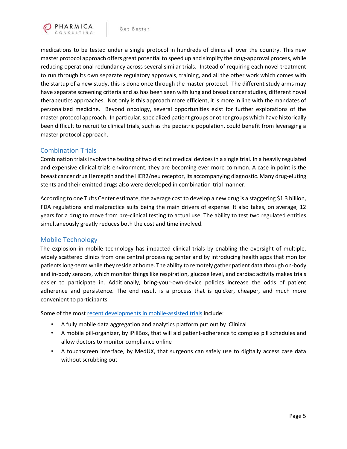

medications to be tested under a single protocol in hundreds of clinics all over the country. This new master protocol approach offers great potential to speed up and simplify the drug-approval process, while reducing operational redundancy across several similar trials. Instead of requiring each novel treatment to run through its own separate regulatory approvals, training, and all the other work which comes with the startup of a new study, this is done once through the master protocol. The different study arms may have separate screening criteria and as has been seen with lung and breast cancer studies, different novel therapeutics approaches. Not only is this approach more efficient, it is more in line with the mandates of personalized medicine. Beyond oncology, several opportunities exist for further explorations of the master protocol approach. In particular, specialized patient groups or other groups which have historically been difficult to recruit to clinical trials, such as the pediatric population, could benefit from leveraging a master protocol approach.

#### <span id="page-6-0"></span>Combination Trials

Combination trials involve the testing of two distinct medical devices in a single trial. In a heavily regulated and expensive clinical trials environment, they are becoming ever more common. A case in point is the breast cancer drug Herceptin and the HER2/neu receptor, its accompanying diagnostic. Many drug-eluting stents and their emitted drugs also were developed in combination-trial manner.

According to one Tufts Center estimate, the average cost to develop a new drug is a staggering \$1.3 billion, FDA regulations and malpractice suits being the main drivers of expense. It also takes, on average, 12 years for a drug to move from pre-clinical testing to actual use. The ability to test two regulated entities simultaneously greatly reduces both the cost and time involved.

#### <span id="page-6-1"></span>Mobile Technology

The explosion in mobile technology has impacted clinical trials by enabling the oversight of multiple, widely scattered clinics from one central processing center and by introducing health apps that monitor patients long-term while they reside at home. The ability to remotely gather patient data through on-body and in-body sensors, which monitor things like respiration, glucose level, and cardiac activity makes trials easier to participate in. Additionally, bring-your-own-device policies increase the odds of patient adherence and persistence. The end result is a process that is quicker, cheaper, and much more convenient to participants.

Some of the mos[t recent developments in mobile-assisted trials](http://mobihealthnews.com/45758/xlerates-third-class-tackles-clinical-trials-medication-adherence-oncology/) include:

- A fully mobile data aggregation and analytics platform put out by iClinical
- A mobile pill-organizer, by iPillBox, that will aid patient-adherence to complex pill schedules and allow doctors to monitor compliance online
- A touchscreen interface, by MedUX, that surgeons can safely use to digitally access case data without scrubbing out